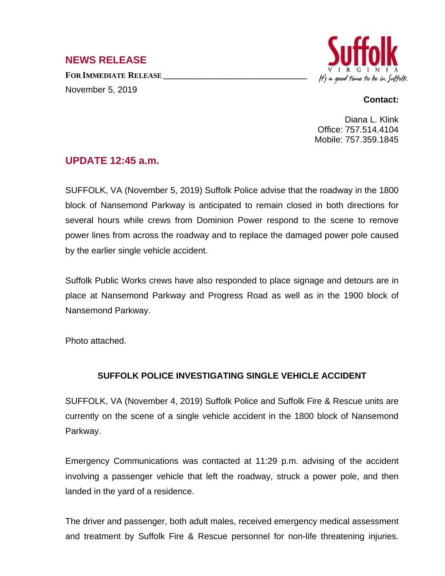## **NEWS RELEASE**

**FOR IMMEDIATE RELEASE \_\_\_\_\_\_\_\_\_\_\_\_\_\_\_\_\_\_\_\_\_\_\_\_\_\_\_\_\_\_\_\_\_** November 5, 2019



## **Contact:**

Diana L. Klink Office: 757.514.4104 Mobile: 757.359.1845

## **UPDATE 12:45 a.m.**

SUFFOLK, VA (November 5, 2019) Suffolk Police advise that the roadway in the 1800 block of Nansemond Parkway is anticipated to remain closed in both directions for several hours while crews from Dominion Power respond to the scene to remove power lines from across the roadway and to replace the damaged power pole caused by the earlier single vehicle accident.

Suffolk Public Works crews have also responded to place signage and detours are in place at Nansemond Parkway and Progress Road as well as in the 1900 block of Nansemond Parkway.

Photo attached.

## **SUFFOLK POLICE INVESTIGATING SINGLE VEHICLE ACCIDENT**

SUFFOLK, VA (November 4, 2019) Suffolk Police and Suffolk Fire & Rescue units are currently on the scene of a single vehicle accident in the 1800 block of Nansemond Parkway.

Emergency Communications was contacted at 11:29 p.m. advising of the accident involving a passenger vehicle that left the roadway, struck a power pole, and then landed in the yard of a residence.

The driver and passenger, both adult males, received emergency medical assessment and treatment by Suffolk Fire & Rescue personnel for non-life threatening injuries.